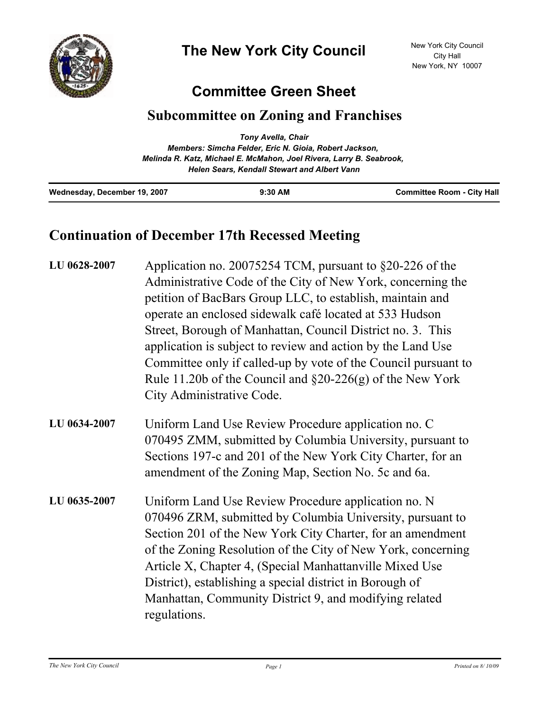

## **Committee Green Sheet**

## **Subcommittee on Zoning and Franchises**

|                              | Tony Avella, Chair                                                   |                                   |
|------------------------------|----------------------------------------------------------------------|-----------------------------------|
|                              | Members: Simcha Felder, Eric N. Gioia, Robert Jackson,               |                                   |
|                              | Melinda R. Katz, Michael E. McMahon, Joel Rivera, Larry B. Seabrook, |                                   |
|                              | <b>Helen Sears, Kendall Stewart and Albert Vann</b>                  |                                   |
| Wednesday, December 19, 2007 | $9:30$ AM                                                            | <b>Committee Room - City Hall</b> |

## **Continuation of December 17th Recessed Meeting**

| LU 0628-2007 | Application no. 20075254 TCM, pursuant to $\S20-226$ of the<br>Administrative Code of the City of New York, concerning the<br>petition of BacBars Group LLC, to establish, maintain and<br>operate an enclosed sidewalk café located at 533 Hudson<br>Street, Borough of Manhattan, Council District no. 3. This<br>application is subject to review and action by the Land Use<br>Committee only if called-up by vote of the Council pursuant to<br>Rule 11.20b of the Council and $\S20-226(g)$ of the New York<br>City Administrative Code. |
|--------------|------------------------------------------------------------------------------------------------------------------------------------------------------------------------------------------------------------------------------------------------------------------------------------------------------------------------------------------------------------------------------------------------------------------------------------------------------------------------------------------------------------------------------------------------|
| LU 0634-2007 | Uniform Land Use Review Procedure application no. C<br>070495 ZMM, submitted by Columbia University, pursuant to<br>Sections 197-c and 201 of the New York City Charter, for an<br>amendment of the Zoning Map, Section No. 5c and 6a.                                                                                                                                                                                                                                                                                                         |
| LU 0635-2007 | Uniform Land Use Review Procedure application no. N<br>070496 ZRM, submitted by Columbia University, pursuant to<br>Section 201 of the New York City Charter, for an amendment<br>of the Zoning Resolution of the City of New York, concerning<br>Article X, Chapter 4, (Special Manhattanville Mixed Use<br>District), establishing a special district in Borough of<br>Manhattan, Community District 9, and modifying related<br>regulations.                                                                                                |